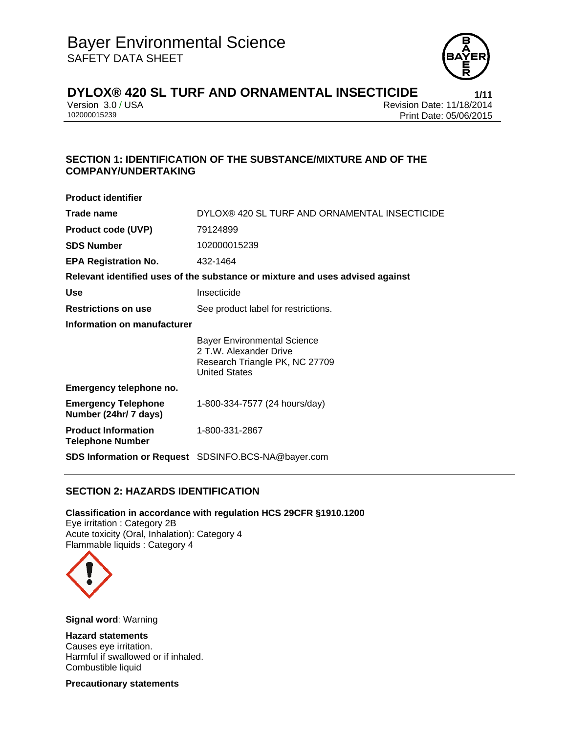

Version 3.0 / USA Revision Date: 11/18/2014<br>102000015239 Print Date: 05/06/2015 Print Date: 05/06/2015

# **SECTION 1: IDENTIFICATION OF THE SUBSTANCE/MIXTURE AND OF THE COMPANY/UNDERTAKING**

| <b>Product identifier</b>                             |                                                                                                                        |  |  |
|-------------------------------------------------------|------------------------------------------------------------------------------------------------------------------------|--|--|
| Trade name                                            | DYLOX® 420 SL TURF AND ORNAMENTAL INSECTICIDE                                                                          |  |  |
| <b>Product code (UVP)</b>                             | 79124899                                                                                                               |  |  |
| <b>SDS Number</b>                                     | 102000015239                                                                                                           |  |  |
| <b>EPA Registration No.</b>                           | 432-1464                                                                                                               |  |  |
|                                                       | Relevant identified uses of the substance or mixture and uses advised against                                          |  |  |
| <b>Use</b>                                            | Insecticide                                                                                                            |  |  |
| <b>Restrictions on use</b>                            | See product label for restrictions.                                                                                    |  |  |
| Information on manufacturer                           |                                                                                                                        |  |  |
|                                                       | <b>Bayer Environmental Science</b><br>2 T.W. Alexander Drive<br>Research Triangle PK, NC 27709<br><b>United States</b> |  |  |
| Emergency telephone no.                               |                                                                                                                        |  |  |
| <b>Emergency Telephone</b><br>Number (24hr/ 7 days)   | 1-800-334-7577 (24 hours/day)                                                                                          |  |  |
| <b>Product Information</b><br><b>Telephone Number</b> | 1-800-331-2867                                                                                                         |  |  |
|                                                       | <b>SDS Information or Request</b> SDSINFO.BCS-NA@bayer.com                                                             |  |  |

# **SECTION 2: HAZARDS IDENTIFICATION**

## **Classification in accordance with regulation HCS 29CFR §1910.1200**

Eye irritation : Category 2B Acute toxicity (Oral, Inhalation): Category 4 Flammable liquids : Category 4



**Signal word**: Warning

## **Hazard statements**

Causes eye irritation. Harmful if swallowed or if inhaled. Combustible liquid

**Precautionary statements**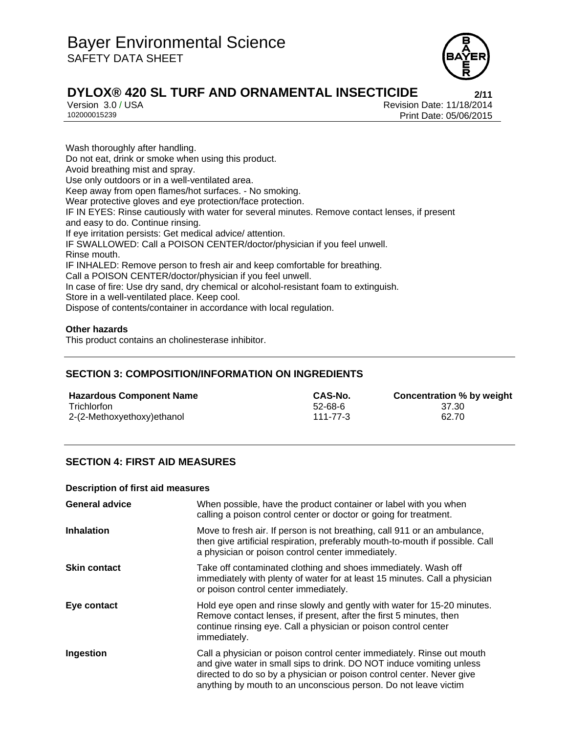

Version 3.0 / USA Revision Date: 11/18/2014<br>102000015239 Print Date: 05/06/2015 Print Date: 05/06/2015

Wash thoroughly after handling. Do not eat, drink or smoke when using this product. Avoid breathing mist and spray. Use only outdoors or in a well-ventilated area. Keep away from open flames/hot surfaces. - No smoking. Wear protective gloves and eye protection/face protection. IF IN EYES: Rinse cautiously with water for several minutes. Remove contact lenses, if present and easy to do. Continue rinsing. If eye irritation persists: Get medical advice/ attention. IF SWALLOWED: Call a POISON CENTER/doctor/physician if you feel unwell. Rinse mouth. IF INHALED: Remove person to fresh air and keep comfortable for breathing. Call a POISON CENTER/doctor/physician if you feel unwell. In case of fire: Use dry sand, dry chemical or alcohol-resistant foam to extinguish. Store in a well-ventilated place. Keep cool. Dispose of contents/container in accordance with local regulation.

## **Other hazards**

This product contains an cholinesterase inhibitor.

# **SECTION 3: COMPOSITION/INFORMATION ON INGREDIENTS**

| <b>Hazardous Component Name</b> | CAS-No.        | Concentration % by weight |
|---------------------------------|----------------|---------------------------|
| Trichlorfon                     | $52 - 68 - 6$  | 37.30                     |
| 2-(2-Methoxyethoxy)ethanol      | $111 - 77 - 3$ | 62.70                     |

# **SECTION 4: FIRST AID MEASURES**

## **Description of first aid measures**

| <b>General advice</b> | When possible, have the product container or label with you when<br>calling a poison control center or doctor or going for treatment.                                                                                                                                                      |
|-----------------------|--------------------------------------------------------------------------------------------------------------------------------------------------------------------------------------------------------------------------------------------------------------------------------------------|
| <b>Inhalation</b>     | Move to fresh air. If person is not breathing, call 911 or an ambulance,<br>then give artificial respiration, preferably mouth-to-mouth if possible. Call<br>a physician or poison control center immediately.                                                                             |
| <b>Skin contact</b>   | Take off contaminated clothing and shoes immediately. Wash off<br>immediately with plenty of water for at least 15 minutes. Call a physician<br>or poison control center immediately.                                                                                                      |
| Eye contact           | Hold eye open and rinse slowly and gently with water for 15-20 minutes.<br>Remove contact lenses, if present, after the first 5 minutes, then<br>continue rinsing eye. Call a physician or poison control center<br>immediately.                                                           |
| Ingestion             | Call a physician or poison control center immediately. Rinse out mouth<br>and give water in small sips to drink. DO NOT induce vomiting unless<br>directed to do so by a physician or poison control center. Never give<br>anything by mouth to an unconscious person. Do not leave victim |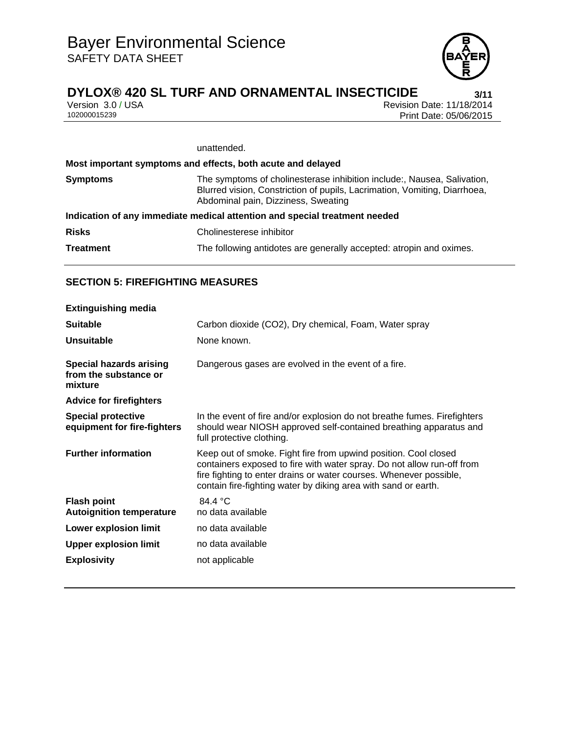

Version 3.0 / USA Revision Date: 11/18/2014<br>102000015239 Print Date: 05/06/2015 Print Date: 05/06/2015

## unattended.

|                  | Most important symptoms and effects, both acute and delayed                                                                                                                                 |  |
|------------------|---------------------------------------------------------------------------------------------------------------------------------------------------------------------------------------------|--|
| <b>Symptoms</b>  | The symptoms of cholinesterase inhibition include:, Nausea, Salivation,<br>Blurred vision, Constriction of pupils, Lacrimation, Vomiting, Diarrhoea,<br>Abdominal pain, Dizziness, Sweating |  |
|                  | Indication of any immediate medical attention and special treatment needed                                                                                                                  |  |
| <b>Risks</b>     | Cholinesterese inhibitor                                                                                                                                                                    |  |
| <b>Treatment</b> | The following antidotes are generally accepted: atropin and oximes.                                                                                                                         |  |

# **SECTION 5: FIREFIGHTING MEASURES**

| <b>Extinguishing media</b>                                         |                                                                                                                                                                                                                                                                                   |
|--------------------------------------------------------------------|-----------------------------------------------------------------------------------------------------------------------------------------------------------------------------------------------------------------------------------------------------------------------------------|
| <b>Suitable</b>                                                    | Carbon dioxide (CO2), Dry chemical, Foam, Water spray                                                                                                                                                                                                                             |
| <b>Unsuitable</b>                                                  | None known.                                                                                                                                                                                                                                                                       |
| <b>Special hazards arising</b><br>from the substance or<br>mixture | Dangerous gases are evolved in the event of a fire.                                                                                                                                                                                                                               |
| <b>Advice for firefighters</b>                                     |                                                                                                                                                                                                                                                                                   |
| <b>Special protective</b><br>equipment for fire-fighters           | In the event of fire and/or explosion do not breathe fumes. Firefighters<br>should wear NIOSH approved self-contained breathing apparatus and<br>full protective clothing.                                                                                                        |
| <b>Further information</b>                                         | Keep out of smoke. Fight fire from upwind position. Cool closed<br>containers exposed to fire with water spray. Do not allow run-off from<br>fire fighting to enter drains or water courses. Whenever possible,<br>contain fire-fighting water by diking area with sand or earth. |
| <b>Flash point</b><br><b>Autoignition temperature</b>              | 84.4 $\degree$ C<br>no data available                                                                                                                                                                                                                                             |
| Lower explosion limit                                              | no data available                                                                                                                                                                                                                                                                 |
| <b>Upper explosion limit</b>                                       | no data available                                                                                                                                                                                                                                                                 |
| <b>Explosivity</b>                                                 | not applicable                                                                                                                                                                                                                                                                    |
|                                                                    |                                                                                                                                                                                                                                                                                   |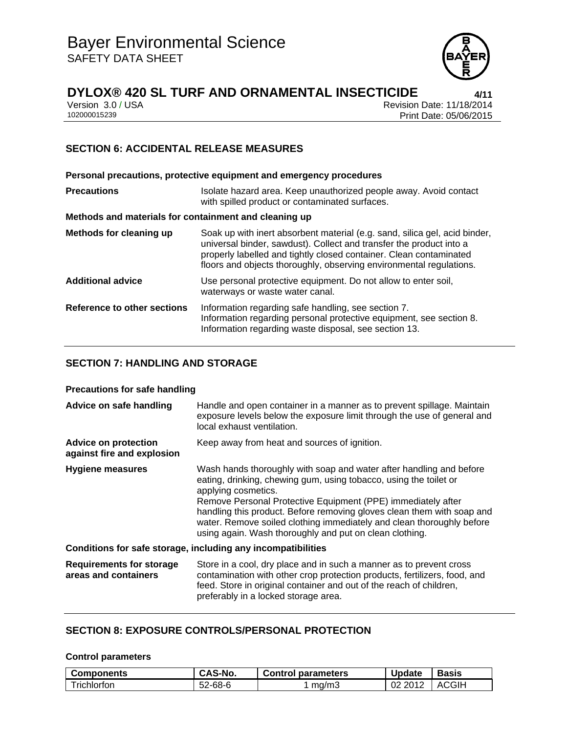

Version 3.0 / USA Revision Date: 11/18/2014<br>102000015239 Print Date: 05/06/2015 Print Date: 05/06/2015

# **SECTION 6: ACCIDENTAL RELEASE MEASURES**

**Personal precautions, protective equipment and emergency procedures Precautions ISOlate hazard area. Keep unauthorized people away. Avoid contact** with spilled product or contaminated surfaces. **Methods and materials for containment and cleaning up Methods for cleaning up** Soak up with inert absorbent material (e.g. sand, silica gel, acid binder, universal binder, sawdust). Collect and transfer the product into a properly labelled and tightly closed container. Clean contaminated floors and objects thoroughly, observing environmental regulations. **Additional advice** Use personal protective equipment. Do not allow to enter soil, waterways or waste water canal. **Reference to other sections** Information regarding safe handling, see section 7. Information regarding personal protective equipment, see section 8. Information regarding waste disposal, see section 13.

# **SECTION 7: HANDLING AND STORAGE**

## **Precautions for safe handling**

| Advice on safe handling                                   | Handle and open container in a manner as to prevent spillage. Maintain<br>exposure levels below the exposure limit through the use of general and<br>local exhaust ventilation.                                                                                                                                                                                                                                                               |
|-----------------------------------------------------------|-----------------------------------------------------------------------------------------------------------------------------------------------------------------------------------------------------------------------------------------------------------------------------------------------------------------------------------------------------------------------------------------------------------------------------------------------|
| <b>Advice on protection</b><br>against fire and explosion | Keep away from heat and sources of ignition.                                                                                                                                                                                                                                                                                                                                                                                                  |
| <b>Hygiene measures</b>                                   | Wash hands thoroughly with soap and water after handling and before<br>eating, drinking, chewing gum, using tobacco, using the toilet or<br>applying cosmetics.<br>Remove Personal Protective Equipment (PPE) immediately after<br>handling this product. Before removing gloves clean them with soap and<br>water. Remove soiled clothing immediately and clean thoroughly before<br>using again. Wash thoroughly and put on clean clothing. |
|                                                           | Conditions for safe storage, including any incompatibilities                                                                                                                                                                                                                                                                                                                                                                                  |
| <b>Requirements for storage</b><br>areas and containers   | Store in a cool, dry place and in such a manner as to prevent cross<br>contamination with other crop protection products, fertilizers, food, and<br>feed. Store in original container and out of the reach of children,                                                                                                                                                                                                                       |

## **SECTION 8: EXPOSURE CONTROLS/PERSONAL PROTECTION**

#### **Control parameters**

| <b>Components</b> | CAS-No.       | <b>Control parameters</b> | <b>Update</b> | Basis        |
|-------------------|---------------|---------------------------|---------------|--------------|
| Trichlorfon       | $52 - 68 - 6$ | mq/m3                     | 02 2012       | <b>ACGIH</b> |

preferably in a locked storage area.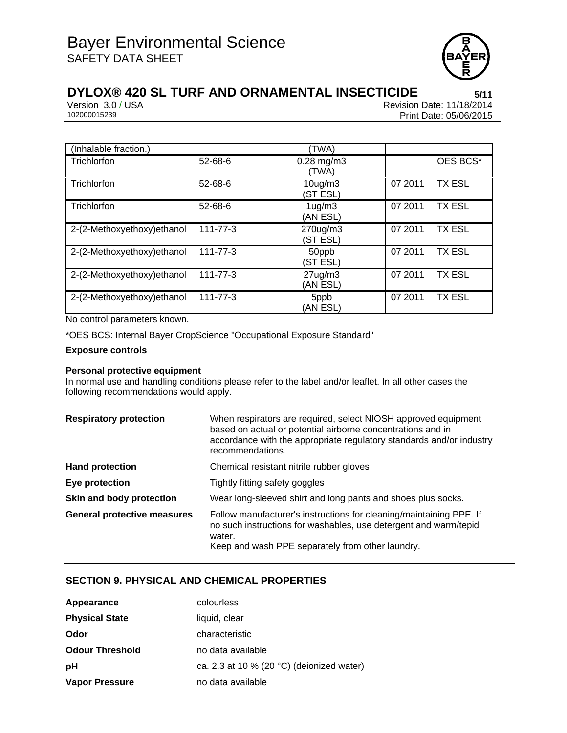

Version 3.0 / USA Revision Date: 11/18/2014<br>102000015239 Print Date: 05/06/2015 Print Date: 05/06/2015

| (Inhalable fraction.)       |                | (TWA)                            |         |               |
|-----------------------------|----------------|----------------------------------|---------|---------------|
| Trichlorfon                 | 52-68-6        | $0.28$ mg/m $3$<br>(TWA)         |         | OES BCS*      |
| Trichlorfon                 | 52-68-6        | 10 <sub>ug</sub> /m3<br>(ST ESL) | 07 2011 | <b>TX ESL</b> |
| Trichlorfon                 | $52 - 68 - 6$  | $1uq$ /m $3uq$<br>(AN ESL)       | 07 2011 | <b>TX ESL</b> |
| 2-(2-Methoxyethoxy) ethanol | $111 - 77 - 3$ | 270ug/m3<br>(ST ESL)             | 07 2011 | <b>TX ESL</b> |
| 2-(2-Methoxyethoxy) ethanol | $111 - 77 - 3$ | 50ppb<br>(ST ESL)                | 07 2011 | <b>TX ESL</b> |
| 2-(2-Methoxyethoxy) ethanol | 111-77-3       | $27$ ug/m $3$<br>(AN ESL)        | 07 2011 | <b>TX ESL</b> |
| 2-(2-Methoxyethoxy) ethanol | 111-77-3       | 5ppb<br>(AN ESL)                 | 07 2011 | <b>TX ESL</b> |

No control parameters known.

\*OES BCS: Internal Bayer CropScience "Occupational Exposure Standard"

#### **Exposure controls**

## **Personal protective equipment**

In normal use and handling conditions please refer to the label and/or leaflet. In all other cases the following recommendations would apply.

| <b>Respiratory protection</b>      | When respirators are required, select NIOSH approved equipment<br>based on actual or potential airborne concentrations and in<br>accordance with the appropriate regulatory standards and/or industry<br>recommendations. |
|------------------------------------|---------------------------------------------------------------------------------------------------------------------------------------------------------------------------------------------------------------------------|
| <b>Hand protection</b>             | Chemical resistant nitrile rubber gloves                                                                                                                                                                                  |
| Eye protection                     | Tightly fitting safety goggles                                                                                                                                                                                            |
| Skin and body protection           | Wear long-sleeved shirt and long pants and shoes plus socks.                                                                                                                                                              |
| <b>General protective measures</b> | Follow manufacturer's instructions for cleaning/maintaining PPE. If<br>no such instructions for washables, use detergent and warm/tepid<br>water.<br>Keep and wash PPE separately from other laundry.                     |

## **SECTION 9. PHYSICAL AND CHEMICAL PROPERTIES**

| Appearance             | colourless                                          |
|------------------------|-----------------------------------------------------|
| <b>Physical State</b>  | liquid, clear                                       |
| Odor                   | characteristic                                      |
| <b>Odour Threshold</b> | no data available                                   |
| рH                     | ca. 2.3 at 10 % (20 $^{\circ}$ C) (deionized water) |
| <b>Vapor Pressure</b>  | no data available                                   |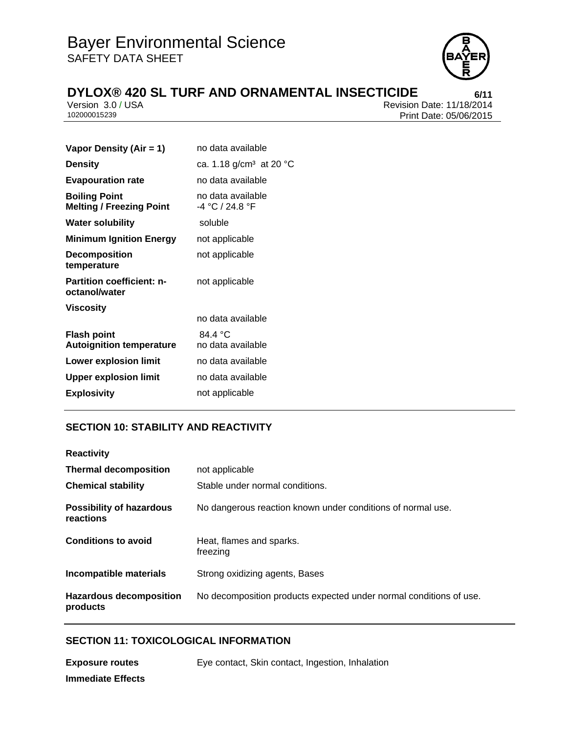

Version 3.0 / USA Revision Date: 11/18/2014<br>102000015239 Print Date: 05/06/2015 Print Date: 05/06/2015

| Vapor Density (Air = 1)                                 | no data available                     |  |
|---------------------------------------------------------|---------------------------------------|--|
| <b>Density</b>                                          | ca. 1.18 g/cm <sup>3</sup> at 20 °C   |  |
| <b>Evapouration rate</b>                                | no data available                     |  |
| <b>Boiling Point</b><br><b>Melting / Freezing Point</b> | no data available<br>-4 °C / 24.8 °F  |  |
| <b>Water solubility</b>                                 | soluble                               |  |
| <b>Minimum Ignition Energy</b>                          | not applicable                        |  |
| <b>Decomposition</b><br>temperature                     | not applicable                        |  |
| Partition coefficient: n-<br>octanol/water              | not applicable                        |  |
| <b>Viscosity</b>                                        |                                       |  |
|                                                         | no data available                     |  |
| <b>Flash point</b><br><b>Autoignition temperature</b>   | 84.4 $\degree$ C<br>no data available |  |
| <b>Lower explosion limit</b>                            | no data available                     |  |
| <b>Upper explosion limit</b>                            | no data available                     |  |
| <b>Explosivity</b>                                      | not applicable                        |  |
|                                                         |                                       |  |

# **SECTION 10: STABILITY AND REACTIVITY**

| <b>Reactivity</b>                            |                                                                    |
|----------------------------------------------|--------------------------------------------------------------------|
| <b>Thermal decomposition</b>                 | not applicable                                                     |
| <b>Chemical stability</b>                    | Stable under normal conditions.                                    |
| <b>Possibility of hazardous</b><br>reactions | No dangerous reaction known under conditions of normal use.        |
| <b>Conditions to avoid</b>                   | Heat, flames and sparks.<br>freezing                               |
| Incompatible materials                       | Strong oxidizing agents, Bases                                     |
| <b>Hazardous decomposition</b><br>products   | No decomposition products expected under normal conditions of use. |

# **SECTION 11: TOXICOLOGICAL INFORMATION**

**Exposure routes** Eye contact, Skin contact, Ingestion, Inhalation **Immediate Effects**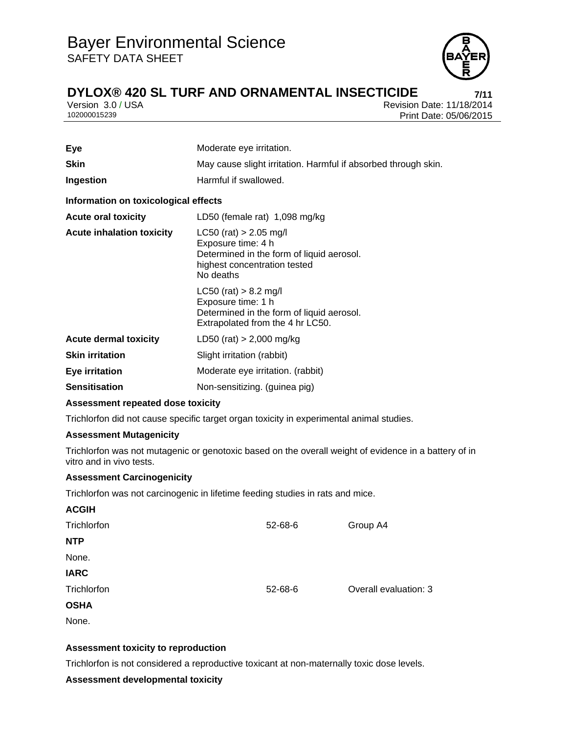

Version 3.0 / USA Revision Date: 11/18/2014<br>102000015239 Print Date: 05/06/2015 Print Date: 05/06/2015

| <b>Eye</b>                           | Moderate eye irritation.                                                                                                                 |  |
|--------------------------------------|------------------------------------------------------------------------------------------------------------------------------------------|--|
| <b>Skin</b>                          | May cause slight irritation. Harmful if absorbed through skin.                                                                           |  |
| Ingestion                            | Harmful if swallowed.                                                                                                                    |  |
| Information on toxicological effects |                                                                                                                                          |  |
| <b>Acute oral toxicity</b>           | LD50 (female rat) 1,098 mg/kg                                                                                                            |  |
| <b>Acute inhalation toxicity</b>     | $LC50$ (rat) > 2.05 mg/l<br>Exposure time: 4 h<br>Determined in the form of liquid aerosol.<br>highest concentration tested<br>No deaths |  |
|                                      | $LC50$ (rat) $> 8.2$ mg/l<br>Exposure time: 1 h<br>Determined in the form of liquid aerosol.<br>Extrapolated from the 4 hr LC50.         |  |
| <b>Acute dermal toxicity</b>         | LD50 (rat) $> 2,000$ mg/kg                                                                                                               |  |
| <b>Skin irritation</b>               | Slight irritation (rabbit)                                                                                                               |  |
| <b>Eye irritation</b>                | Moderate eye irritation. (rabbit)                                                                                                        |  |
| <b>Sensitisation</b>                 | Non-sensitizing. (guinea pig)                                                                                                            |  |

## **Assessment repeated dose toxicity**

Trichlorfon did not cause specific target organ toxicity in experimental animal studies.

## **Assessment Mutagenicity**

Trichlorfon was not mutagenic or genotoxic based on the overall weight of evidence in a battery of in vitro and in vivo tests.

## **Assessment Carcinogenicity**

Trichlorfon was not carcinogenic in lifetime feeding studies in rats and mice.

| <b>ACGIH</b> |         |                       |
|--------------|---------|-----------------------|
| Trichlorfon  | 52-68-6 | Group A4              |
| <b>NTP</b>   |         |                       |
| None.        |         |                       |
| <b>IARC</b>  |         |                       |
| Trichlorfon  | 52-68-6 | Overall evaluation: 3 |
| <b>OSHA</b>  |         |                       |

None.

## **Assessment toxicity to reproduction**

Trichlorfon is not considered a reproductive toxicant at non-maternally toxic dose levels.

## **Assessment developmental toxicity**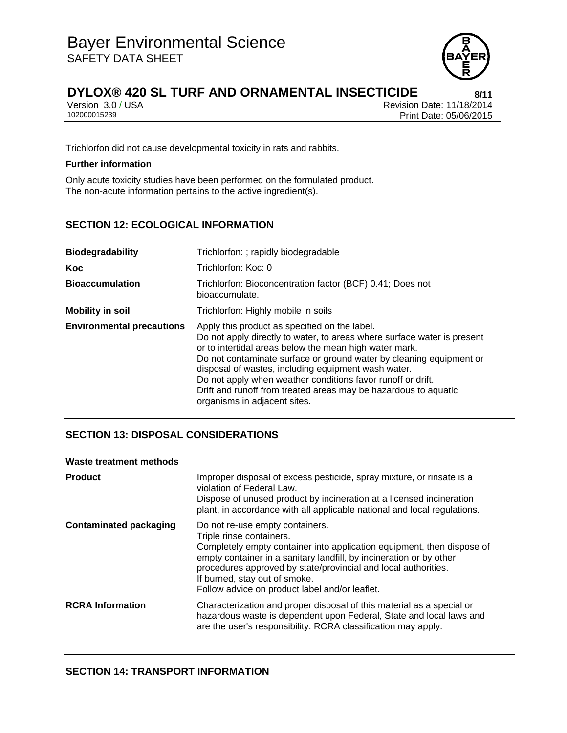

Version 3.0 / USA Revision Date: 11/18/2014<br>102000015239 Print Date: 05/06/2015 Print Date: 05/06/2015

Trichlorfon did not cause developmental toxicity in rats and rabbits.

## **Further information**

Only acute toxicity studies have been performed on the formulated product. The non-acute information pertains to the active ingredient(s).

## **SECTION 12: ECOLOGICAL INFORMATION**

| <b>Biodegradability</b>          | Trichlorfon: ; rapidly biodegradable                                                                                                                                                                                                                                                                                                                                                                                                                                               |  |  |
|----------------------------------|------------------------------------------------------------------------------------------------------------------------------------------------------------------------------------------------------------------------------------------------------------------------------------------------------------------------------------------------------------------------------------------------------------------------------------------------------------------------------------|--|--|
| Koc                              | Trichlorfon: Koc: 0                                                                                                                                                                                                                                                                                                                                                                                                                                                                |  |  |
| <b>Bioaccumulation</b>           | Trichlorfon: Bioconcentration factor (BCF) 0.41; Does not<br>bioaccumulate.                                                                                                                                                                                                                                                                                                                                                                                                        |  |  |
| <b>Mobility in soil</b>          | Trichlorfon: Highly mobile in soils                                                                                                                                                                                                                                                                                                                                                                                                                                                |  |  |
| <b>Environmental precautions</b> | Apply this product as specified on the label.<br>Do not apply directly to water, to areas where surface water is present<br>or to intertidal areas below the mean high water mark.<br>Do not contaminate surface or ground water by cleaning equipment or<br>disposal of wastes, including equipment wash water.<br>Do not apply when weather conditions favor runoff or drift.<br>Drift and runoff from treated areas may be hazardous to aquatic<br>organisms in adjacent sites. |  |  |

## **SECTION 13: DISPOSAL CONSIDERATIONS**

#### **Waste treatment methods**

| <b>Product</b>                | Improper disposal of excess pesticide, spray mixture, or rinsate is a<br>violation of Federal Law.<br>Dispose of unused product by incineration at a licensed incineration<br>plant, in accordance with all applicable national and local regulations.                                                                                                            |
|-------------------------------|-------------------------------------------------------------------------------------------------------------------------------------------------------------------------------------------------------------------------------------------------------------------------------------------------------------------------------------------------------------------|
| <b>Contaminated packaging</b> | Do not re-use empty containers.<br>Triple rinse containers.<br>Completely empty container into application equipment, then dispose of<br>empty container in a sanitary landfill, by incineration or by other<br>procedures approved by state/provincial and local authorities.<br>If burned, stay out of smoke.<br>Follow advice on product label and/or leaflet. |
| <b>RCRA Information</b>       | Characterization and proper disposal of this material as a special or<br>hazardous waste is dependent upon Federal, State and local laws and<br>are the user's responsibility. RCRA classification may apply.                                                                                                                                                     |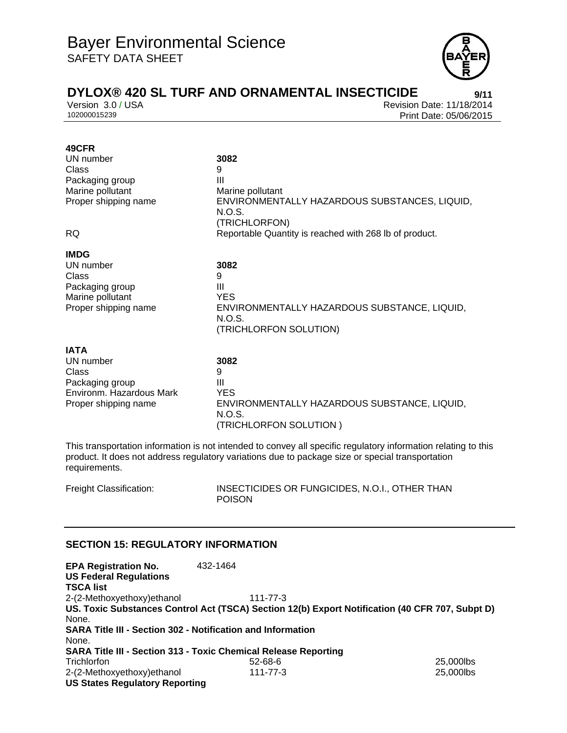

Version 3.0 / USA Revision Date: 11/18/2014<br>102000015239 Print Date: 05/06/2015 Print Date: 05/06/2015

| 49CFR<br>UN number<br>Class<br>Packaging group<br>Marine pollutant<br>Proper shipping name<br><b>RQ</b>  | 3082<br>9<br>Ш<br>Marine pollutant<br>ENVIRONMENTALLY HAZARDOUS SUBSTANCES, LIQUID,<br>N.O.S.<br>(TRICHLORFON)<br>Reportable Quantity is reached with 268 lb of product. |
|----------------------------------------------------------------------------------------------------------|--------------------------------------------------------------------------------------------------------------------------------------------------------------------------|
| <b>IMDG</b><br>UN number<br>Class<br>Packaging group<br>Marine pollutant<br>Proper shipping name         | 3082<br>9<br>Ш<br><b>YES</b><br>ENVIRONMENTALLY HAZARDOUS SUBSTANCE, LIQUID,<br>N.O.S.<br>(TRICHLORFON SOLUTION)                                                         |
| <b>IATA</b><br>UN number<br>Class<br>Packaging group<br>Environm. Hazardous Mark<br>Proper shipping name | 3082<br>9<br>Ш<br><b>YES</b><br>ENVIRONMENTALLY HAZARDOUS SUBSTANCE, LIQUID,<br>N.O.S.<br>(TRICHLORFON SOLUTION)                                                         |

This transportation information is not intended to convey all specific regulatory information relating to this product. It does not address regulatory variations due to package size or special transportation requirements.

Freight Classification: INSECTICIDES OR FUNGICIDES, N.O.I., OTHER THAN POISON

## **SECTION 15: REGULATORY INFORMATION**

| <b>EPA Registration No.</b><br><b>US Federal Regulations</b>       | 432-1464                                                                                        |           |
|--------------------------------------------------------------------|-------------------------------------------------------------------------------------------------|-----------|
| <b>TSCA list</b>                                                   |                                                                                                 |           |
| 2-(2-Methoxyethoxy) ethanol                                        | $111 - 77 - 3$                                                                                  |           |
|                                                                    | US. Toxic Substances Control Act (TSCA) Section 12(b) Export Notification (40 CFR 707, Subpt D) |           |
| None.                                                              |                                                                                                 |           |
| <b>SARA Title III - Section 302 - Notification and Information</b> |                                                                                                 |           |
| None.                                                              |                                                                                                 |           |
|                                                                    | <b>SARA Title III - Section 313 - Toxic Chemical Release Reporting</b>                          |           |
| Trichlorfon                                                        | $52 - 68 - 6$                                                                                   | 25,000lbs |
| 2-(2-Methoxyethoxy) ethanol                                        | 111-77-3                                                                                        | 25,000lbs |
| <b>US States Regulatory Reporting</b>                              |                                                                                                 |           |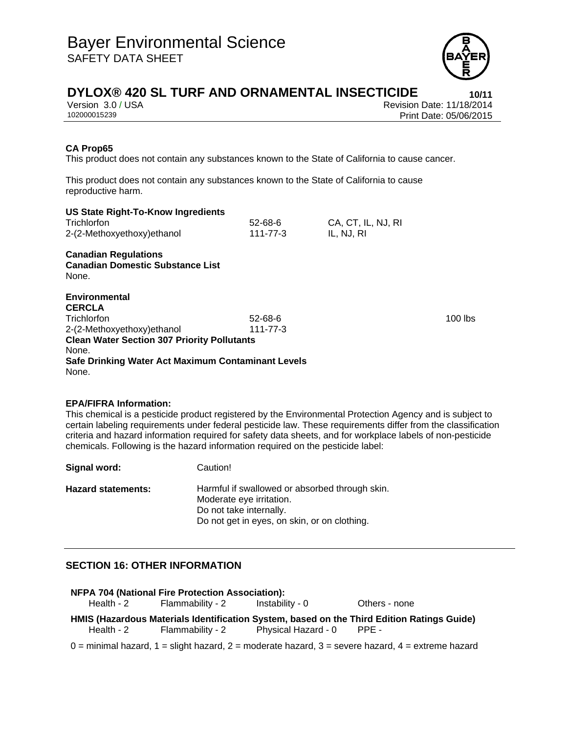

Version 3.0 / USA Revision Date: 11/18/2014<br>102000015239 Print Date: 05/06/2015 Print Date: 05/06/2015

## **CA Prop65**

This product does not contain any substances known to the State of California to cause cancer.

This product does not contain any substances known to the State of California to cause reproductive harm.

|  |  | <b>US State Right-To-Know Ingredients</b> |
|--|--|-------------------------------------------|
|  |  |                                           |

| Trichlorfon                 | $52 - 68 - 6$ | CA, CT, IL, NJ, RI |
|-----------------------------|---------------|--------------------|
| 2-(2-Methoxyethoxy) ethanol | 111-77-3      | IL, NJ, RI         |

**Canadian Regulations Canadian Domestic Substance List**  None.

**Environmental CERCLA**  Trichlorfon 52-68-6 100 lbs 2-(2-Methoxyethoxy)ethanol 111-77-3 **Clean Water Section 307 Priority Pollutants**  None. **Safe Drinking Water Act Maximum Contaminant Levels**  None.

## **EPA/FIFRA Information:**

This chemical is a pesticide product registered by the Environmental Protection Agency and is subject to certain labeling requirements under federal pesticide law. These requirements differ from the classification criteria and hazard information required for safety data sheets, and for workplace labels of non-pesticide chemicals. Following is the hazard information required on the pesticide label:

**Signal word:** Caution! Hazard statements: Harmful if swallowed or absorbed through skin. Moderate eye irritation. Do not take internally. Do not get in eyes, on skin, or on clothing.

# **SECTION 16: OTHER INFORMATION**

| NFPA 704 (National Fire Protection Association):                                           |                                             |                                                       |                                                                                                             |  |
|--------------------------------------------------------------------------------------------|---------------------------------------------|-------------------------------------------------------|-------------------------------------------------------------------------------------------------------------|--|
|                                                                                            | Health - 2 Flammability - 2 Instability - 0 |                                                       | Others - none                                                                                               |  |
| HMIS (Hazardous Materials Identification System, based on the Third Edition Ratings Guide) |                                             |                                                       |                                                                                                             |  |
|                                                                                            |                                             | Health - 2 Flammability - 2 Physical Hazard - 0 PPE - |                                                                                                             |  |
|                                                                                            |                                             |                                                       | $0 =$ minimal hazard, $1 =$ slight hazard, $2 =$ moderate hazard, $3 =$ severe hazard, $4 =$ extreme hazard |  |